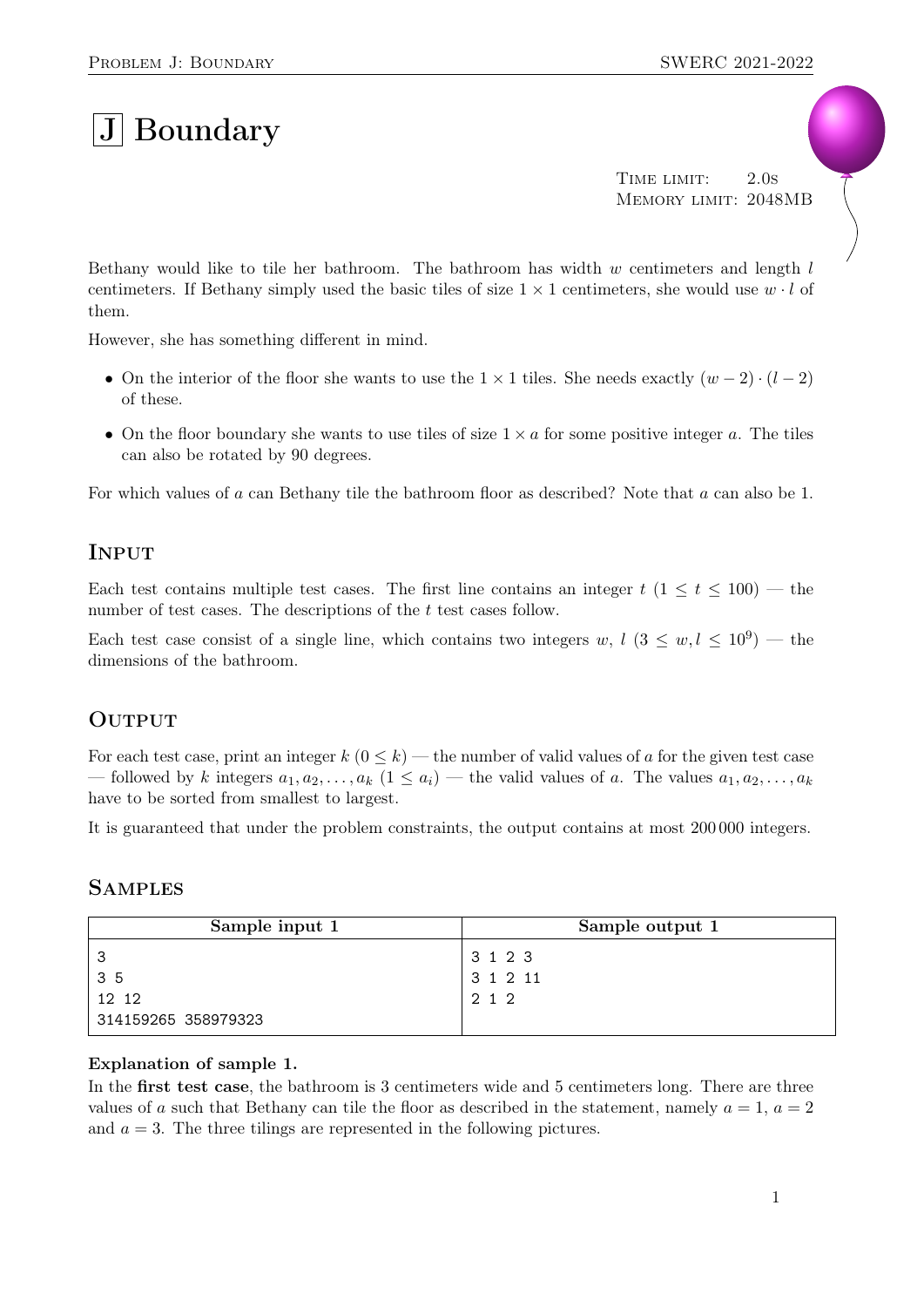# $|{\rm J}|$  Boundary

TIME LIMIT: 2.0s Memory limit: 2048MB

Bethany would like to tile her bathroom. The bathroom has width  $w$  centimeters and length  $l$ centimeters. If Bethany simply used the basic tiles of size  $1 \times 1$  centimeters, she would use  $w \cdot l$  of them.

However, she has something different in mind.

- On the interior of the floor she wants to use the  $1 \times 1$  tiles. She needs exactly  $(w 2) \cdot (l 2)$ of these.
- On the floor boundary she wants to use tiles of size  $1 \times a$  for some positive integer a. The tiles can also be rotated by 90 degrees.

For which values of a can Bethany tile the bathroom floor as described? Note that a can also be 1.

## **INPUT**

Each test contains multiple test cases. The first line contains an integer  $t$  (1  $\leq t \leq 100$ ) — the number of test cases. The descriptions of the t test cases follow.

Each test case consist of a single line, which contains two integers w,  $l$   $(3 \leq w, l \leq 10^9)$  — the dimensions of the bathroom.

### **OUTPUT**

For each test case, print an integer  $k$  ( $0 \le k$ ) — the number of valid values of a for the given test case — followed by k integers  $a_1, a_2, \ldots, a_k$   $(1 \le a_i)$  — the valid values of a. The values  $a_1, a_2, \ldots, a_k$ have to be sorted from smallest to largest.

It is guaranteed that under the problem constraints, the output contains at most 200 000 integers.

#### **SAMPLES**

| Sample input 1      | Sample output 1 |
|---------------------|-----------------|
|                     | 3 1 2 3         |
| 35                  | 31211           |
| 12 12               | 2 1 2           |
| 314159265 358979323 |                 |

#### Explanation of sample 1.

In the **first test case**, the bathroom is 3 centimeters wide and 5 centimeters long. There are three values of a such that Bethany can tile the floor as described in the statement, namely  $a = 1, a = 2$ and  $a = 3$ . The three tilings are represented in the following pictures.